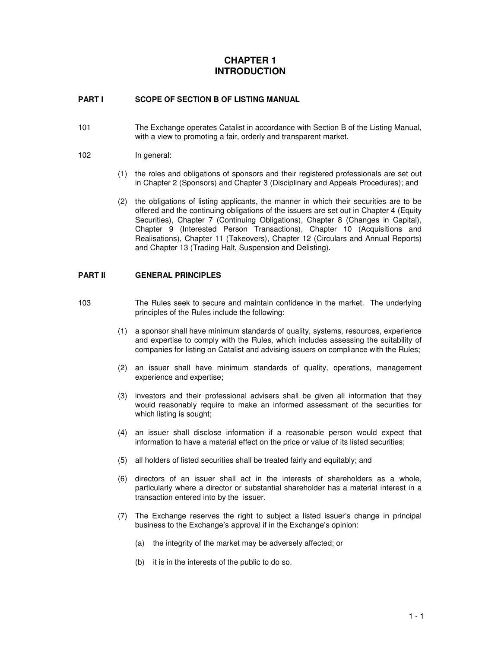# **CHAPTER 1 INTRODUCTION**

#### **PART I SCOPE OF SECTION B OF LISTING MANUAL**

- 101 The Exchange operates Catalist in accordance with Section B of the Listing Manual, with a view to promoting a fair, orderly and transparent market.
- 102 In general:
	- (1) the roles and obligations of sponsors and their registered professionals are set out in Chapter 2 (Sponsors) and Chapter 3 (Disciplinary and Appeals Procedures); and
	- (2) the obligations of listing applicants, the manner in which their securities are to be offered and the continuing obligations of the issuers are set out in Chapter 4 (Equity Securities), Chapter 7 (Continuing Obligations), Chapter 8 (Changes in Capital), Chapter 9 (Interested Person Transactions), Chapter 10 (Acquisitions and Realisations), Chapter 11 (Takeovers), Chapter 12 (Circulars and Annual Reports) and Chapter 13 (Trading Halt, Suspension and Delisting).

#### **PART II GENERAL PRINCIPLES**

- 103 The Rules seek to secure and maintain confidence in the market. The underlying principles of the Rules include the following:
	- (1) a sponsor shall have minimum standards of quality, systems, resources, experience and expertise to comply with the Rules, which includes assessing the suitability of companies for listing on Catalist and advising issuers on compliance with the Rules;
	- (2) an issuer shall have minimum standards of quality, operations, management experience and expertise;
	- (3) investors and their professional advisers shall be given all information that they would reasonably require to make an informed assessment of the securities for which listing is sought;
	- (4) an issuer shall disclose information if a reasonable person would expect that information to have a material effect on the price or value of its listed securities;
	- (5) all holders of listed securities shall be treated fairly and equitably; and
	- (6) directors of an issuer shall act in the interests of shareholders as a whole, particularly where a director or substantial shareholder has a material interest in a transaction entered into by the issuer.
	- (7) The Exchange reserves the right to subject a listed issuer's change in principal business to the Exchange's approval if in the Exchange's opinion:
		- (a) the integrity of the market may be adversely affected; or
		- (b) it is in the interests of the public to do so.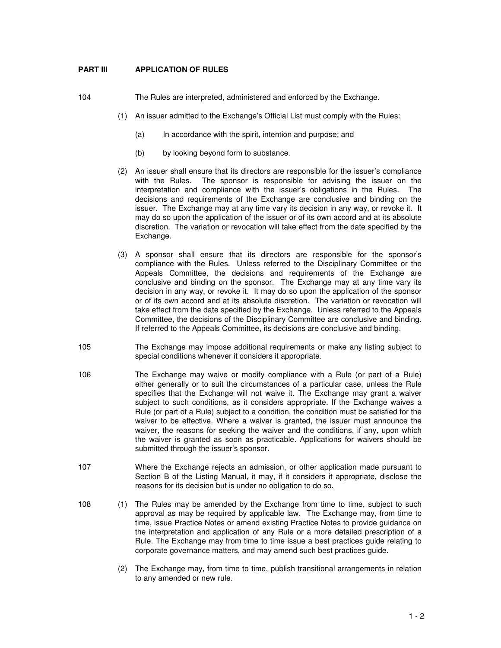## **PART III APPLICATION OF RULES**

104 The Rules are interpreted, administered and enforced by the Exchange.

- (1) An issuer admitted to the Exchange's Official List must comply with the Rules:
	- (a) In accordance with the spirit, intention and purpose; and
	- (b) by looking beyond form to substance.
- (2) An issuer shall ensure that its directors are responsible for the issuer's compliance with the Rules. The sponsor is responsible for advising the issuer on the interpretation and compliance with the issuer's obligations in the Rules. The decisions and requirements of the Exchange are conclusive and binding on the issuer. The Exchange may at any time vary its decision in any way, or revoke it. It may do so upon the application of the issuer or of its own accord and at its absolute discretion. The variation or revocation will take effect from the date specified by the Exchange.
- (3) A sponsor shall ensure that its directors are responsible for the sponsor's compliance with the Rules. Unless referred to the Disciplinary Committee or the Appeals Committee, the decisions and requirements of the Exchange are conclusive and binding on the sponsor. The Exchange may at any time vary its decision in any way, or revoke it. It may do so upon the application of the sponsor or of its own accord and at its absolute discretion. The variation or revocation will take effect from the date specified by the Exchange. Unless referred to the Appeals Committee, the decisions of the Disciplinary Committee are conclusive and binding. If referred to the Appeals Committee, its decisions are conclusive and binding.
- 105 The Exchange may impose additional requirements or make any listing subject to special conditions whenever it considers it appropriate.
- 106 The Exchange may waive or modify compliance with a Rule (or part of a Rule) either generally or to suit the circumstances of a particular case, unless the Rule specifies that the Exchange will not waive it. The Exchange may grant a waiver subject to such conditions, as it considers appropriate. If the Exchange waives a Rule (or part of a Rule) subject to a condition, the condition must be satisfied for the waiver to be effective. Where a waiver is granted, the issuer must announce the waiver, the reasons for seeking the waiver and the conditions, if any, upon which the waiver is granted as soon as practicable. Applications for waivers should be submitted through the issuer's sponsor.
- 107 Where the Exchange rejects an admission, or other application made pursuant to Section B of the Listing Manual, it may, if it considers it appropriate, disclose the reasons for its decision but is under no obligation to do so.
- 108 (1) The Rules may be amended by the Exchange from time to time, subject to such approval as may be required by applicable law. The Exchange may, from time to time, issue Practice Notes or amend existing Practice Notes to provide guidance on the interpretation and application of any Rule or a more detailed prescription of a Rule. The Exchange may from time to time issue a best practices guide relating to corporate governance matters, and may amend such best practices guide.
	- (2) The Exchange may, from time to time, publish transitional arrangements in relation to any amended or new rule.